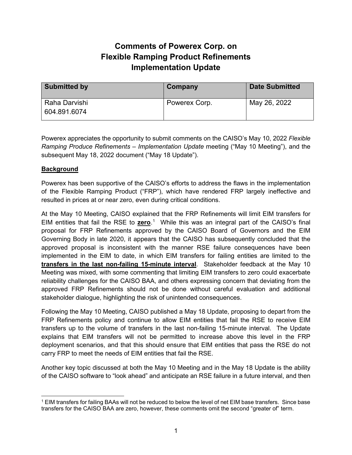## **Comments of Powerex Corp. on Flexible Ramping Product Refinements Implementation Update**

| <b>Submitted by</b>           | Company       | <b>Date Submitted</b> |
|-------------------------------|---------------|-----------------------|
| Raha Darvishi<br>604.891.6074 | Powerex Corp. | May 26, 2022          |

Powerex appreciates the opportunity to submit comments on the CAISO's May 10, 2022 *Flexible Ramping Produce Refinements – Implementation Update* meeting ("May 10 Meeting"), and the subsequent May 18, 2022 document ("May 18 Update").

## **Background**

Powerex has been supportive of the CAISO's efforts to address the flaws in the implementation of the Flexible Ramping Product ("FRP"), which have rendered FRP largely ineffective and resulted in prices at or near zero, even during critical conditions.

At the May 10 Meeting, CAISO explained that the FRP Refinements will limit EIM transfers for EIM entities that fail the RSE to **zero**.<sup>1</sup> While this was an integral part of the CAISO's final proposal for FRP Refinements approved by the CAISO Board of Governors and the EIM Governing Body in late 2020, it appears that the CAISO has subsequently concluded that the approved proposal is inconsistent with the manner RSE failure consequences have been implemented in the EIM to date, in which EIM transfers for failing entities are limited to the **transfers in the last non-failing 15-minute interval**. Stakeholder feedback at the May 10 Meeting was mixed, with some commenting that limiting EIM transfers to zero could exacerbate reliability challenges for the CAISO BAA, and others expressing concern that deviating from the approved FRP Refinements should not be done without careful evaluation and additional stakeholder dialogue, highlighting the risk of unintended consequences.

Following the May 10 Meeting, CAISO published a May 18 Update, proposing to depart from the FRP Refinements policy and continue to allow EIM entities that fail the RSE to receive EIM transfers up to the volume of transfers in the last non-failing 15-minute interval. The Update explains that EIM transfers will not be permitted to increase above this level in the FRP deployment scenarios, and that this should ensure that EIM entities that pass the RSE do not carry FRP to meet the needs of EIM entities that fail the RSE.

Another key topic discussed at both the May 10 Meeting and in the May 18 Update is the ability of the CAISO software to "look ahead" and anticipate an RSE failure in a future interval, and then

<sup>1</sup> EIM transfers for failing BAAs will not be reduced to below the level of net EIM base transfers. Since base transfers for the CAISO BAA are zero, however, these comments omit the second "greater of" term.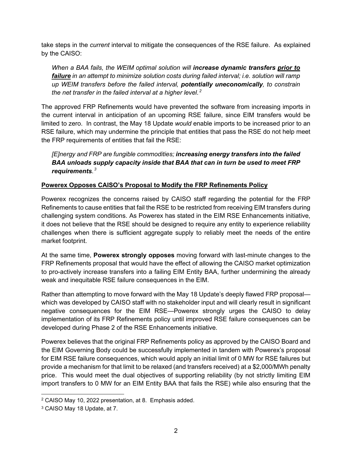take steps in the *current* interval to mitigate the consequences of the RSE failure. As explained by the CAISO:

*When a BAA fails, the WEIM optimal solution will increase dynamic transfers prior to failure in an attempt to minimize solution costs during failed interval; i.e. solution will ramp up WEIM transfers before the failed interval, potentially uneconomically, to constrain*  the net transfer in the failed interval at a higher level..<sup>2</sup>

The approved FRP Refinements would have prevented the software from increasing imports in the current interval in anticipation of an upcoming RSE failure, since EIM transfers would be limited to zero. In contrast, the May 18 Update *would* enable imports to be increased prior to an RSE failure, which may undermine the principle that entities that pass the RSE do not help meet the FRP requirements of entities that fail the RSE:

*[E]nergy and FRP are fungible commodities; increasing energy transfers into the failed BAA unloads supply capacity inside that BAA that can in turn be used to meet FRP requirements.*2F *3*

## **Powerex Opposes CAISO's Proposal to Modify the FRP Refinements Policy**

Powerex recognizes the concerns raised by CAISO staff regarding the potential for the FRP Refinements to cause entities that fail the RSE to be restricted from receiving EIM transfers during challenging system conditions. As Powerex has stated in the EIM RSE Enhancements initiative, it does not believe that the RSE should be designed to require any entity to experience reliability challenges when there is sufficient aggregate supply to reliably meet the needs of the entire market footprint.

At the same time, **Powerex strongly opposes** moving forward with last-minute changes to the FRP Refinements proposal that would have the effect of allowing the CAISO market optimization to pro-actively increase transfers into a failing EIM Entity BAA, further undermining the already weak and inequitable RSE failure consequences in the EIM.

Rather than attempting to move forward with the May 18 Update's deeply flawed FRP proposal which was developed by CAISO staff with no stakeholder input and will clearly result in significant negative consequences for the EIM RSE—Powerex strongly urges the CAISO to delay implementation of its FRP Refinements policy until improved RSE failure consequences can be developed during Phase 2 of the RSE Enhancements initiative.

Powerex believes that the original FRP Refinements policy as approved by the CAISO Board and the EIM Governing Body could be successfully implemented in tandem with Powerex's proposal for EIM RSE failure consequences, which would apply an initial limit of 0 MW for RSE failures but provide a mechanism for that limit to be relaxed (and transfers received) at a \$2,000/MWh penalty price. This would meet the dual objectives of supporting reliability (by not strictly limiting EIM import transfers to 0 MW for an EIM Entity BAA that fails the RSE) while also ensuring that the

<sup>2</sup> CAISO May 10, 2022 presentation, at 8. Emphasis added.

<sup>3</sup> CAISO May 18 Update, at 7.